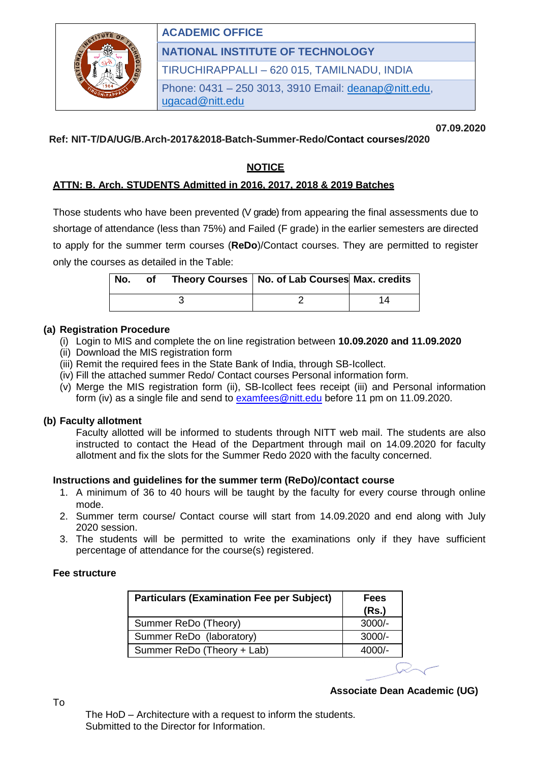

# **ACADEMIC OFFICE**

**NATIONAL INSTITUTE OF TECHNOLOGY**

TIRUCHIRAPPALLI – 620 015, TAMILNADU, INDIA

Phone: 0431 – 250 3013, 3910 Email: [deanap@nitt.edu,](mailto:deanap@nitt.edu) [ugacad@nitt.edu](mailto:ugacad@nitt.edu)

**07.09.2020** 

**Ref: NIT-T/DA/UG/B.Arch-2017&2018-Batch-Summer-Redo/Contact courses/2020**

# **NOTICE**

# **ATTN: B. Arch. STUDENTS Admitted in 2016, 2017, 2018 & 2019 Batches**

Those students who have been prevented (V grade) from appearing the final assessments due to shortage of attendance (less than 75%) and Failed (F grade) in the earlier semesters are directed to apply for the summer term courses (**ReDo**)/Contact courses. They are permitted to register only the courses as detailed in the Table:

| No. | of | Theory Courses   No. of Lab Courses Max. credits |  |
|-----|----|--------------------------------------------------|--|
|     |    |                                                  |  |

## **(a) Registration Procedure**

- (i) Login to MIS and complete the on line registration between **10.09.2020 and 11.09.2020**
- (ii) Download the MIS registration form
- (iii) Remit the required fees in the State Bank of India, through SB-Icollect.
- (iv) Fill the attached summer Redo/ Contact courses Personal information form.
- (v) Merge the MIS registration form (ii), SB-Icollect fees receipt (iii) and Personal information form (iv) as a single file and send to [examfees@nitt.edu](mailto:examfees@nitt.edu) before 11 pm on 11.09.2020.

## **(b) Faculty allotment**

Faculty allotted will be informed to students through NITT web mail. The students are also instructed to contact the Head of the Department through mail on 14.09.2020 for faculty allotment and fix the slots for the Summer Redo 2020 with the faculty concerned.

## **Instructions and guidelines for the summer term (ReDo)/contact course**

- 1. A minimum of 36 to 40 hours will be taught by the faculty for every course through online mode.
- 2. Summer term course/ Contact course will start from 14.09.2020 and end along with July 2020 session.
- 3. The students will be permitted to write the examinations only if they have sufficient percentage of attendance for the course(s) registered.

## **Fee structure**

| <b>Particulars (Examination Fee per Subject)</b> | Fees<br>(Rs.) |
|--------------------------------------------------|---------------|
| Summer ReDo (Theory)                             | $3000/-$      |
| Summer ReDo (laboratory)                         | $3000/-$      |
| Summer ReDo (Theory + Lab)                       | $4000/-$      |
|                                                  |               |

#### **Associate Dean Academic (UG)**

The HoD – Architecture with a request to inform the students. Submitted to the Director for Information.